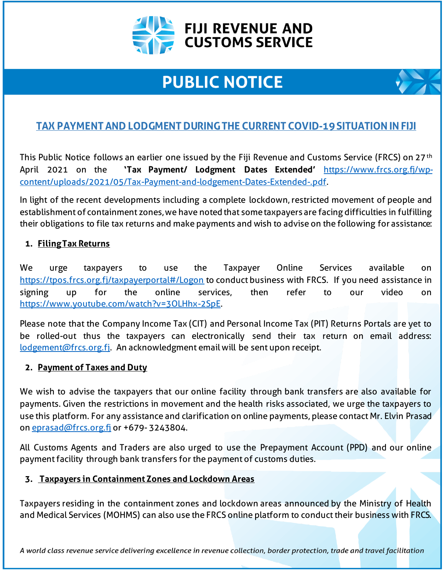

# **PUBLIC NOTICE**

# **TAX PAYMENT AND LODGMENT DURING THE CURRENT COVID-19 SITUATION IN FIJI**

This Public Notice follows an earlier one issued by the Fiji Revenue and Customs Service (FRCS) on 27th April 2021 on the **'Tax Payment/ Lodgment Dates Extended'** [https://www.frcs.org.fj/wp](https://www.frcs.org.fj/wp-content/uploads/2021/05/Tax-Payment-and-lodgement-Dates-Extended-.pdf)[content/uploads/2021/05/Tax-Payment-and-lodgement-Dates-Extended-.pdf.](https://www.frcs.org.fj/wp-content/uploads/2021/05/Tax-Payment-and-lodgement-Dates-Extended-.pdf)

In light of the recent developments including a complete lockdown, restricted movement of people and establishment of containment zones, we have noted that some taxpayers are facing difficulties in fulfilling their obligations to file tax returns and make payments and wish to advise on the following for assistance:

## **1. Filing Tax Returns**

We urge taxpayers to use the Taxpayer Online Services available on <https://tpos.frcs.org.fj/taxpayerportal#/Logon> to conduct business with FRCS. If you need assistance in signing up for the online services, then refer to our video on <https://www.youtube.com/watch?v=3OLHhx-2SpE>.

Please note that the Company Income Tax (CIT) and Personal Income Tax (PIT) Returns Portals are yet to be rolled-out thus the taxpayers can electronically send their tax return on email address: [lodgement@frcs.org.fj.](mailto:lodgement@frcs.org.fj) An acknowledgment email will be sent upon receipt.

### **2. Payment of Taxes and Duty**

We wish to advise the taxpayers that our online facility through bank transfers are also available for payments. Given the restrictions in movement and the health risks associated, we urge the taxpayers to use this platform. For any assistance and clarification on online payments, please contact Mr. Elvin Prasad o[n eprasad@frcs.org.fj](mailto:eprasad@frcs.org.fj) or +679-3243804.

All Customs Agents and Traders are also urged to use the Prepayment Account (PPD) and our online payment facility through bank transfers for the payment of customs duties.

### **3. Taxpayers in Containment Zones and Lockdown Areas**

Taxpayers residing in the containment zones and lockdown areas announced by the Ministry of Health and Medical Services (MOHMS) can also use the FRCS online platform to conduct their business with FRCS.

A world class revenue service delivering excellence in revenue collection, border protection, trade and travel facilitation